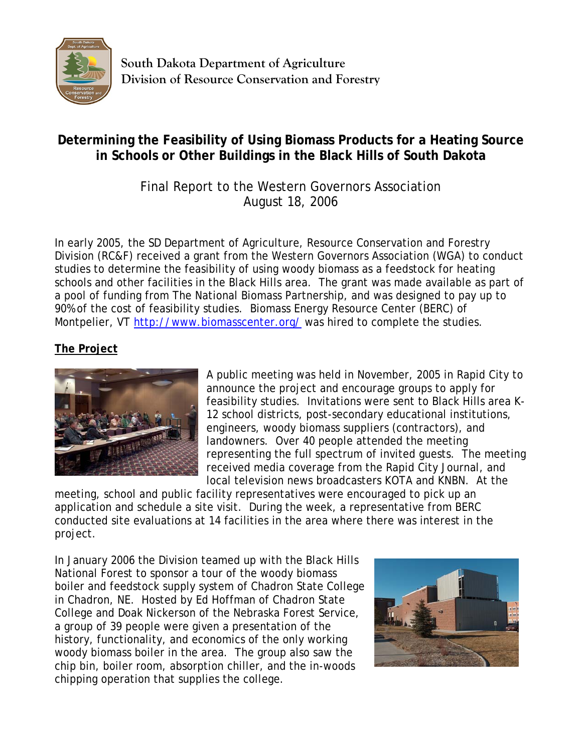

**South Dakota Department of Agriculture Division of Resource Conservation and Forestry** 

## **Determining the Feasibility of Using Biomass Products for a Heating Source in Schools or Other Buildings in the Black Hills of South Dakota**

## Final Report to the Western Governors Association August 18, 2006

In early 2005, the SD Department of Agriculture, Resource Conservation and Forestry Division (RC&F) received a grant from the Western Governors Association (WGA) to conduct studies to determine the feasibility of using woody biomass as a feedstock for heating schools and other facilities in the Black Hills area. The grant was made available as part of a pool of funding from The National Biomass Partnership, and was designed to pay up to 90% of the cost of feasibility studies. Biomass Energy Resource Center (BERC) of Montpelier, VT http://www.biomasscenter.org/ was hired to complete the studies.

## **The Project**



A public meeting was held in November, 2005 in Rapid City to announce the project and encourage groups to apply for feasibility studies. Invitations were sent to Black Hills area K-12 school districts, post-secondary educational institutions, engineers, woody biomass suppliers (contractors), and landowners. Over 40 people attended the meeting representing the full spectrum of invited guests. The meeting received media coverage from the Rapid City Journal, and local television news broadcasters KOTA and KNBN. At the

meeting, school and public facility representatives were encouraged to pick up an application and schedule a site visit. During the week, a representative from BERC conducted site evaluations at 14 facilities in the area where there was interest in the project.

In January 2006 the Division teamed up with the Black Hills National Forest to sponsor a tour of the woody biomass boiler and feedstock supply system of Chadron State College in Chadron, NE. Hosted by Ed Hoffman of Chadron State College and Doak Nickerson of the Nebraska Forest Service, a group of 39 people were given a presentation of the history, functionality, and economics of the only working woody biomass boiler in the area. The group also saw the chip bin, boiler room, absorption chiller, and the in-woods chipping operation that supplies the college.